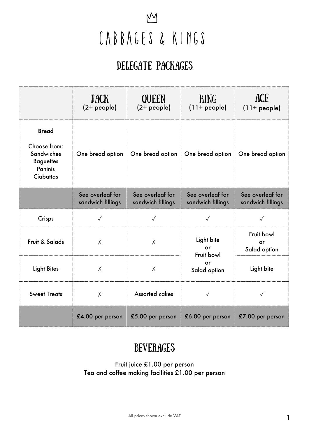### $\underline{M}$ CABBAGES & KINGS

#### DELEGATE PACKAGES

|                                                                                                             | <b>JACK</b><br>$(2 + people)$         | QUEEN<br>$(2 + people)$               | <b>KING</b><br>$(11 + people)$        | <b>ACE</b><br>$(11+people)$           |
|-------------------------------------------------------------------------------------------------------------|---------------------------------------|---------------------------------------|---------------------------------------|---------------------------------------|
| <b>Bread</b><br>Choose from:<br><b>Sandwiches</b><br><b>Baguettes</b><br><b>Paninis</b><br><b>Ciabattas</b> | One bread option                      | One bread option                      | One bread option                      | One bread option                      |
|                                                                                                             | See overleaf for<br>sandwich fillings | See overleaf for<br>sandwich fillings | See overleaf for<br>sandwich fillings | See overleaf for<br>sandwich fillings |
| Crisps                                                                                                      | $\sqrt{}$                             | $\sqrt{}$                             |                                       |                                       |
| Fruit & Salads                                                                                              | X                                     | X                                     | Light bite<br>or<br>Fruit bowl        | Fruit bowl<br>or<br>Salad option      |
| <b>Light Bites</b>                                                                                          | $\times$                              | $\times$                              | or<br>Salad option                    | Light bite                            |
| <b>Sweet Treats</b>                                                                                         | X                                     | <b>Assorted cakes</b>                 | $\sqrt{}$                             | $\sqrt{}$                             |
|                                                                                                             | £4.00 per person                      | £5.00 per person                      | £6.00 per person                      | £7.00 per person                      |

#### **BEVERAGES**

Fruit juice £1.00 per person Tea and coffee making facilities £1.00 per person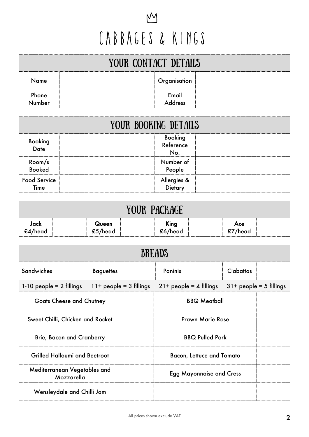## $\underline{M}$ CABBAGES & KINGS

| YOUR CONTACT DETAILS |  |                  |  |  |  |
|----------------------|--|------------------|--|--|--|
| Name                 |  | Organisation     |  |  |  |
| Phone<br>Number      |  | Email<br>Address |  |  |  |

|                             | YOUR BOOKING DETAILS              |  |  |  |  |
|-----------------------------|-----------------------------------|--|--|--|--|
| Booking<br>Date             | <b>Booking</b><br>Reference<br>No |  |  |  |  |
| Room/s<br>Booked            | Number of<br>People               |  |  |  |  |
| <b>Food Service</b><br>Time | Allergies &<br>Dietary            |  |  |  |  |

| <b>PACKAGE</b><br>VOIIR                                |  |                                           |  |                 |  |                |  |
|--------------------------------------------------------|--|-------------------------------------------|--|-----------------|--|----------------|--|
| Jack<br>£4/head<br>___________________________________ |  | Queen<br>£5/head<br>--------------------- |  | King<br>£6/head |  | Ace<br>£7/head |  |

| <b>BREADS</b>                              |  |                           |                         |                                  |  |                  |                           |
|--------------------------------------------|--|---------------------------|-------------------------|----------------------------------|--|------------------|---------------------------|
| <b>Sandwiches</b>                          |  | <b>Baguettes</b>          |                         | <b>Paninis</b>                   |  | <b>Ciabattas</b> |                           |
| $1-10$ people = 2 fillings                 |  | $11+$ people = 3 fillings |                         | $21+$ people = 4 fillings        |  |                  | $31+$ people = 5 fillings |
| <b>Goats Cheese and Chutney</b>            |  |                           |                         | <b>BBQ Meatball</b>              |  |                  |                           |
| Sweet Chilli, Chicken and Rocket           |  |                           | <b>Prawn Marie Rose</b> |                                  |  |                  |                           |
| <b>Brie, Bacon and Cranberry</b>           |  |                           |                         | <b>BBQ Pulled Pork</b>           |  |                  |                           |
| <b>Grilled Halloumi and Beetroot</b>       |  |                           |                         | <b>Bacon, Lettuce and Tomato</b> |  |                  |                           |
| Mediterranean Vegetables and<br>Mozzarella |  |                           |                         | <b>Egg Mayonnaise and Cress</b>  |  |                  |                           |
| Wensleydale and Chilli Jam                 |  |                           |                         |                                  |  |                  |                           |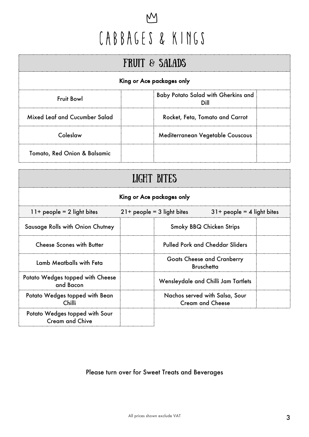## $M$ CABBAGES & KINGS

| <b>FRUIT &amp; SALADS</b>                                               |                                  |  |  |  |  |
|-------------------------------------------------------------------------|----------------------------------|--|--|--|--|
| King or Ace packages only                                               |                                  |  |  |  |  |
| <b>Baby Potato Salad with Gherkins and</b><br><b>Fruit Bowl</b><br>Dill |                                  |  |  |  |  |
| Mixed Leaf and Cucumber Salad                                           | Rocket, Feta, Tomato and Carrot  |  |  |  |  |
| Coleslaw                                                                | Mediterranean Vegetable Couscous |  |  |  |  |
| Tomato, Red Onion & Balsamic                                            |                                  |  |  |  |  |

| LIGHT BITES                                                                                  |  |                                                           |                                        |  |  |  |
|----------------------------------------------------------------------------------------------|--|-----------------------------------------------------------|----------------------------------------|--|--|--|
| King or Ace packages only                                                                    |  |                                                           |                                        |  |  |  |
| $11+$ people = 2 light bites<br>$21+$ people = 3 light bites<br>$31+$ people = 4 light bites |  |                                                           |                                        |  |  |  |
| Sausage Rolls with Onion Chutney                                                             |  |                                                           | <b>Smoky BBQ Chicken Strips</b>        |  |  |  |
| <b>Cheese Scones with Butter</b>                                                             |  |                                                           | <b>Pulled Pork and Cheddar Sliders</b> |  |  |  |
| Lamb Meatballs with Feta                                                                     |  | <b>Goats Cheese and Cranberry</b><br><b>Bruschetta</b>    |                                        |  |  |  |
| Potato Wedges topped with Cheese<br>and Bacon                                                |  | Wensleydale and Chilli Jam Tartlets                       |                                        |  |  |  |
| Potato Wedges topped with Bean<br>Chilli                                                     |  | Nachos served with Salsa, Sour<br><b>Cream and Cheese</b> |                                        |  |  |  |
| Potato Wedges topped with Sour<br><b>Cream and Chive</b>                                     |  |                                                           |                                        |  |  |  |

#### Please turn over for Sweet Treats and Beverages